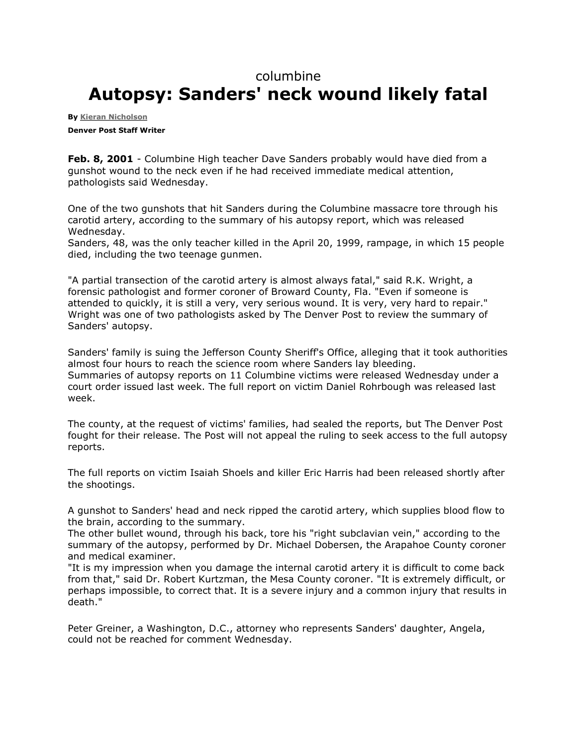## columbine

## **Autopsy: Sanders' neck wound likely fatal**

**By [Kieran Nicholson](mailto:knicholson@denverpost.com) Denver Post Staff Writer**

**Feb. 8, 2001** - Columbine High teacher Dave Sanders probably would have died from a gunshot wound to the neck even if he had received immediate medical attention, pathologists said Wednesday.

One of the two gunshots that hit Sanders during the Columbine massacre tore through his carotid artery, according to the summary of his autopsy report, which was released Wednesday.

Sanders, 48, was the only teacher killed in the April 20, 1999, rampage, in which 15 people died, including the two teenage gunmen.

"A partial transection of the carotid artery is almost always fatal," said R.K. Wright, a forensic pathologist and former coroner of Broward County, Fla. "Even if someone is attended to quickly, it is still a very, very serious wound. It is very, very hard to repair." Wright was one of two pathologists asked by The Denver Post to review the summary of Sanders' autopsy.

Sanders' family is suing the Jefferson County Sheriff's Office, alleging that it took authorities almost four hours to reach the science room where Sanders lay bleeding. Summaries of autopsy reports on 11 Columbine victims were released Wednesday under a court order issued last week. The full report on victim Daniel Rohrbough was released last week.

The county, at the request of victims' families, had sealed the reports, but The Denver Post fought for their release. The Post will not appeal the ruling to seek access to the full autopsy reports.

The full reports on victim Isaiah Shoels and killer Eric Harris had been released shortly after the shootings.

A gunshot to Sanders' head and neck ripped the carotid artery, which supplies blood flow to the brain, according to the summary.

The other bullet wound, through his back, tore his "right subclavian vein," according to the summary of the autopsy, performed by Dr. Michael Dobersen, the Arapahoe County coroner and medical examiner.

"It is my impression when you damage the internal carotid artery it is difficult to come back from that," said Dr. Robert Kurtzman, the Mesa County coroner. "It is extremely difficult, or perhaps impossible, to correct that. It is a severe injury and a common injury that results in death."

Peter Greiner, a Washington, D.C., attorney who represents Sanders' daughter, Angela, could not be reached for comment Wednesday.